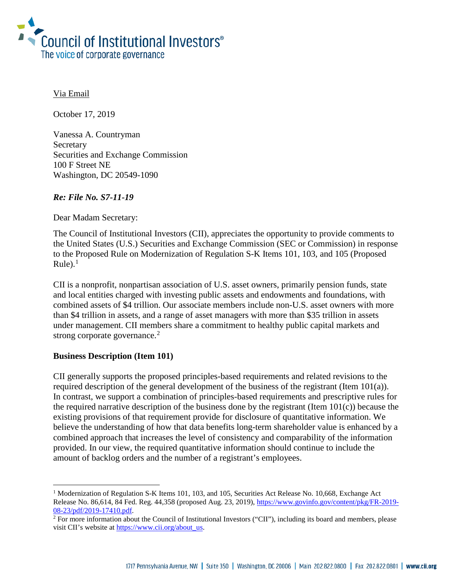

Via Email

October 17, 2019

Vanessa A. Countryman **Secretary** Securities and Exchange Commission 100 F Street NE Washington, DC 20549-1090

### *Re: File No. S7-11-19*

Dear Madam Secretary:

The Council of Institutional Investors (CII), appreciates the opportunity to provide comments to the United States (U.S.) Securities and Exchange Commission (SEC or Commission) in response to the Proposed Rule on Modernization of Regulation S-K Items 101, 103, and 105 (Proposed Rule). $<sup>1</sup>$  $<sup>1</sup>$  $<sup>1</sup>$ </sup>

CII is a nonprofit, nonpartisan association of U.S. asset owners, primarily pension funds, state and local entities charged with investing public assets and endowments and foundations, with combined assets of \$4 trillion. Our associate members include non-U.S. asset owners with more than \$4 trillion in assets, and a range of asset managers with more than \$35 trillion in assets under management. CII members share a commitment to healthy public capital markets and strong corporate governance.<sup>[2](#page-0-1)</sup>

### **Business Description (Item 101)**

i

CII generally supports the proposed principles-based requirements and related revisions to the required description of the general development of the business of the registrant (Item 101(a)). In contrast, we support a combination of principles-based requirements and prescriptive rules for the required narrative description of the business done by the registrant (Item  $101(c)$ ) because the existing provisions of that requirement provide for disclosure of quantitative information. We believe the understanding of how that data benefits long-term shareholder value is enhanced by a combined approach that increases the level of consistency and comparability of the information provided. In our view, the required quantitative information should continue to include the amount of backlog orders and the number of a registrant's employees.

<span id="page-0-0"></span><sup>&</sup>lt;sup>1</sup> Modernization of Regulation S-K Items 101, 103, and 105, Securities Act Release No. 10,668, Exchange Act Release No. 86,614, 84 Fed. Reg. 44,358 (proposed Aug. 23, 2019), [https://www.govinfo.gov/content/pkg/FR-2019-](https://www.govinfo.gov/content/pkg/FR-2019-08-23/pdf/2019-17410.pdf) [08-23/pdf/2019-17410.pdf.](https://www.govinfo.gov/content/pkg/FR-2019-08-23/pdf/2019-17410.pdf)

<span id="page-0-1"></span> $2$  For more information about the Council of Institutional Investors ("CII"), including its board and members, please visit CII's website at [https://www.cii.org/about\\_us.](https://www.cii.org/about_us)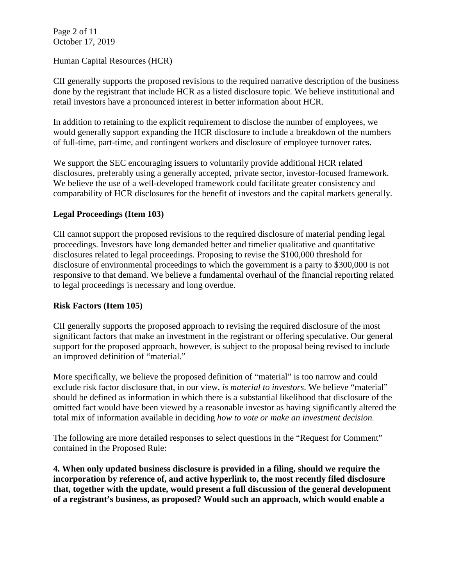Page 2 of 11 October 17, 2019

### Human Capital Resources (HCR)

CII generally supports the proposed revisions to the required narrative description of the business done by the registrant that include HCR as a listed disclosure topic. We believe institutional and retail investors have a pronounced interest in better information about HCR.

In addition to retaining to the explicit requirement to disclose the number of employees, we would generally support expanding the HCR disclosure to include a breakdown of the numbers of full-time, part-time, and contingent workers and disclosure of employee turnover rates.

We support the SEC encouraging issuers to voluntarily provide additional HCR related disclosures, preferably using a generally accepted, private sector, investor-focused framework. We believe the use of a well-developed framework could facilitate greater consistency and comparability of HCR disclosures for the benefit of investors and the capital markets generally.

### **Legal Proceedings (Item 103)**

CII cannot support the proposed revisions to the required disclosure of material pending legal proceedings. Investors have long demanded better and timelier qualitative and quantitative disclosures related to legal proceedings. Proposing to revise the \$100,000 threshold for disclosure of environmental proceedings to which the government is a party to \$300,000 is not responsive to that demand. We believe a fundamental overhaul of the financial reporting related to legal proceedings is necessary and long overdue.

#### **Risk Factors (Item 105)**

CII generally supports the proposed approach to revising the required disclosure of the most significant factors that make an investment in the registrant or offering speculative. Our general support for the proposed approach, however, is subject to the proposal being revised to include an improved definition of "material."

More specifically, we believe the proposed definition of "material" is too narrow and could exclude risk factor disclosure that, in our view, *is material to investors*. We believe "material" should be defined as information in which there is a substantial likelihood that disclosure of the omitted fact would have been viewed by a reasonable investor as having significantly altered the total mix of information available in deciding *how to vote or make an investment decision*.

The following are more detailed responses to select questions in the "Request for Comment" contained in the Proposed Rule:

**4. When only updated business disclosure is provided in a filing, should we require the incorporation by reference of, and active hyperlink to, the most recently filed disclosure that, together with the update, would present a full discussion of the general development of a registrant's business, as proposed? Would such an approach, which would enable a**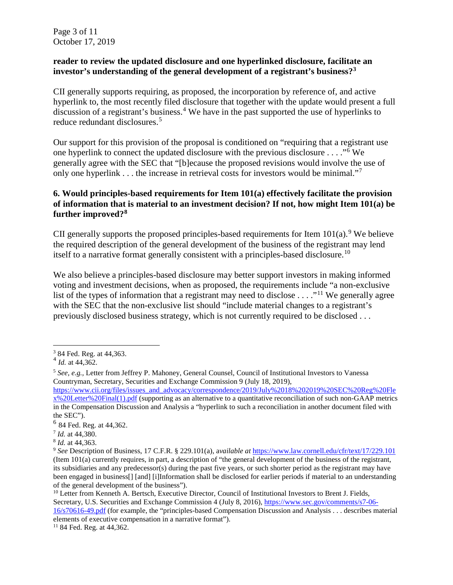Page 3 of 11 October 17, 2019

## **reader to review the updated disclosure and one hyperlinked disclosure, facilitate an investor's understanding of the general development of a registrant's business[?3](#page-2-0)**

CII generally supports requiring, as proposed, the incorporation by reference of, and active hyperlink to, the most recently filed disclosure that together with the update would present a full discussion of a registrant's business.<sup>[4](#page-2-1)</sup> We have in the past supported the use of hyperlinks to reduce redundant disclosures.<sup>[5](#page-2-2)</sup>

Our support for this provision of the proposal is conditioned on "requiring that a registrant use one hyperlink to connect the updated disclosure with the previous disclosure . . . ."[6](#page-2-3) We generally agree with the SEC that "[b]ecause the proposed revisions would involve the use of only one hyperlink . . . the increase in retrieval costs for investors would be minimal."[7](#page-2-4)

## **6. Would principles-based requirements for Item 101(a) effectively facilitate the provision of information that is material to an investment decision? If not, how might Item 101(a) be further improved?[8](#page-2-5)**

CII generally supports the proposed principles-based requirements for Item  $101(a)$ .<sup>[9](#page-2-6)</sup> We believe the required description of the general development of the business of the registrant may lend itself to a narrative format generally consistent with a principles-based disclosure.<sup>[10](#page-2-7)</sup>

We also believe a principles-based disclosure may better support investors in making informed voting and investment decisions, when as proposed, the requirements include "a non-exclusive list of the types of information that a registrant may need to disclose  $\dots$ ."<sup>[11](#page-2-8)</sup> We generally agree with the SEC that the non-exclusive list should "include material changes to a registrant's previously disclosed business strategy, which is not currently required to be disclosed . . .

i

<span id="page-2-0"></span> $3$  84 Fed. Reg. at 44,363.

<span id="page-2-1"></span> $4$  *Id.* at 44,362.

<span id="page-2-2"></span><sup>5</sup> *See, e.g.,* Letter from Jeffrey P. Mahoney, General Counsel, Council of Institutional Investors to Vanessa Countryman, Secretary, Securities and Exchange Commission 9 (July 18, 2019),

[https://www.cii.org/files/issues\\_and\\_advocacy/correspondence/2019/July%2018%202019%20SEC%20Reg%20Fle](https://www.cii.org/files/issues_and_advocacy/correspondence/2019/July%2018%202019%20SEC%20Reg%20Flex%20Letter%20Final(1).pdf) [x%20Letter%20Final\(1\).pdf](https://www.cii.org/files/issues_and_advocacy/correspondence/2019/July%2018%202019%20SEC%20Reg%20Flex%20Letter%20Final(1).pdf) (supporting as an alternative to a quantitative reconciliation of such non-GAAP metrics in the Compensation Discussion and Analysis a "hyperlink to such a reconciliation in another document filed with the SEC").

<span id="page-2-3"></span> $6$  84 Fed. Reg. at 44,362.

<span id="page-2-4"></span><sup>7</sup> *Id.* at 44,380.

<span id="page-2-5"></span><sup>8</sup> *Id.* at 44,363.

<span id="page-2-6"></span><sup>9</sup> *See* Description of Business, 17 C.F.R. § 229.101(a), a*vailable at* <https://www.law.cornell.edu/cfr/text/17/229.101> (Item 101(a) currently requires, in part, a description of "the general development of the business of the [registrant,](https://www.law.cornell.edu/cfr/text/17/229.101)  its subsidiaries and any predecessor(s) during the past five years, or such shorter period as the [registrant](https://www.law.cornell.edu/cfr/text/17/229.101) may have been engaged in business[] [and] [i]Information shall be disclosed for earlier periods if [material](https://www.law.cornell.edu/cfr/text/17/229.101) to an understanding of the general development of the business").

<span id="page-2-7"></span><sup>&</sup>lt;sup>10</sup> Letter from Kenneth A. Bertsch, Executive Director, Council of Institutional Investors to Brent J. Fields. Secretary, U.S. Securities and Exchange Commission 4 (July 8, 2016), [https://www.sec.gov/comments/s7-06-](https://www.sec.gov/comments/s7-06-16/s70616-49.pdf) [16/s70616-49.pdf](https://www.sec.gov/comments/s7-06-16/s70616-49.pdf) (for example, the "principles-based Compensation Discussion and Analysis . . . describes material

<span id="page-2-8"></span>elements of executive compensation in a narrative format"). 11 84 Fed. Reg. at 44,362.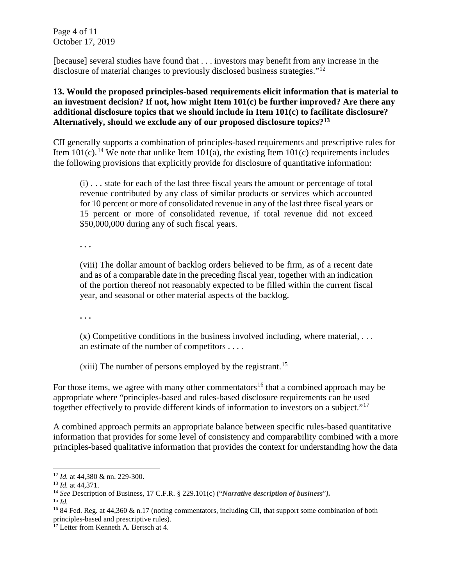Page 4 of 11 October 17, 2019

[because] several studies have found that . . . investors may benefit from any increase in the disclosure of material changes to previously disclosed business strategies."<sup>[12](#page-3-0)</sup>

## **13. Would the proposed principles-based requirements elicit information that is material to an investment decision? If not, how might Item 101(c) be further improved? Are there any additional disclosure topics that we should include in Item 101(c) to facilitate disclosure? Alternatively, should we exclude any of our proposed disclosure topics?[13](#page-3-1)**

CII generally supports a combination of principles-based requirements and prescriptive rules for Item 101(c).<sup>[14](#page-3-2)</sup> We note that unlike Item 101(a), the existing Item 101(c) requirements includes the following provisions that explicitly provide for disclosure of quantitative information:

(i) . . . state for each of the last three [fiscal years](https://www.law.cornell.edu/cfr/text/17/229.101) the [amount](https://www.law.cornell.edu/cfr/text/17/229.101) or percentage of total revenue contributed by any class of similar products or services which accounted for 10 percent or more of consolidated revenue in any of the last three [fiscal years](https://www.law.cornell.edu/cfr/text/17/229.101) or 15 percent or more of consolidated revenue, if total revenue did not exceed \$50,000,000 during any of such [fiscal years.](https://www.law.cornell.edu/cfr/text/17/229.101)

**. . .** 

(viii) The dollar [amount](https://www.law.cornell.edu/cfr/text/17/229.101) of backlog orders believed to be firm, as of a recent date and as of a comparable date in the preceding [fiscal year,](https://www.law.cornell.edu/cfr/text/17/229.101) together with an indication of the portion thereof not reasonably expected to be filled within the current [fiscal](https://www.law.cornell.edu/cfr/text/17/229.101)  [year,](https://www.law.cornell.edu/cfr/text/17/229.101) and seasonal or other [material](https://www.law.cornell.edu/cfr/text/17/229.101) aspects of the backlog.

**. . .**

 $(x)$  Competitive conditions in the business involved including, where [material,](https://www.law.cornell.edu/cfr/text/17/229.101) ... an estimate of the number of competitors . . . .

(xiii) The number of persons employed by the [registrant.](https://www.law.cornell.edu/cfr/text/17/229.101) [15](#page-3-3)

For those items, we agree with many other commentators<sup>[16](#page-3-4)</sup> that a combined approach may be appropriate where "principles-based and rules-based disclosure requirements can be used together effectively to provide different kinds of information to investors on a subject."<sup>[17](#page-3-5)</sup>

A combined approach permits an appropriate balance between specific rules-based quantitative information that provides for some level of consistency and comparability combined with a more principles-based qualitative information that provides the context for understanding how the data

i<br>I

<span id="page-3-0"></span><sup>12</sup> *Id.* at 44,380 & nn. 229-300.

<span id="page-3-1"></span><sup>13</sup> *Id.* at 44,371.

<span id="page-3-2"></span><sup>14</sup> *See* Description of Business, 17 C.F.R. § 229.101(c) ("*Narrative description of business*"*).*

<span id="page-3-3"></span><sup>15</sup> *Id.*

<span id="page-3-4"></span><sup>&</sup>lt;sup>16</sup> 84 Fed. Reg. at 44,360  $\&$  n.17 (noting commentators, including CII, that support some combination of both principles-based and prescriptive rules).<br><sup>17</sup> Letter from Kenneth A. Bertsch at 4.

<span id="page-3-5"></span>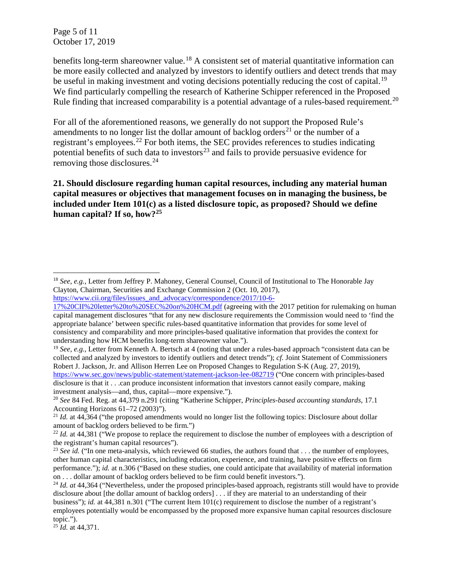Page 5 of 11 October 17, 2019

benefits long-term shareowner value.<sup>[18](#page-4-0)</sup> A consistent set of material quantitative information can be more easily collected and analyzed by investors to identify outliers and detect trends that may be useful in making investment and voting decisions potentially reducing the cost of capital.<sup>[19](#page-4-1)</sup> We find particularly compelling the research of Katherine Schipper referenced in the Proposed Rule finding that increased comparability is a potential advantage of a rules-based requirement.<sup>[20](#page-4-2)</sup>

For all of the aforementioned reasons, we generally do not support the Proposed Rule's amendments to no longer list the dollar amount of backlog orders<sup>[21](#page-4-3)</sup> or the number of a registrant's employees.<sup>[22](#page-4-4)</sup> For both items, the SEC provides references to studies indicating potential benefits of such data to investors<sup>[23](#page-4-5)</sup> and fails to provide persuasive evidence for removing those disclosures.<sup>[24](#page-4-6)</sup>

**21. Should disclosure regarding human capital resources, including any material human capital measures or objectives that management focuses on in managing the business, be included under Item 101(c) as a listed disclosure topic, as proposed? Should we define human capital? If so, how?[25](#page-4-7)**

<span id="page-4-1"></span><sup>19</sup> *See, e.g.,* Letter from Kenneth A. Bertsch at 4 (noting that under a rules-based approach "consistent data can be collected and analyzed by investors to identify outliers and detect trends"); *cf.* Joint Statement of Commissioners Robert J. Jackson, Jr. and Allison Herren Lee on Proposed Changes to Regulation S-K (Aug. 27, 2019), <https://www.sec.gov/news/public-statement/statement-jackson-lee-082719> ("One concern with principles-based disclosure is that it . . .can produce inconsistent information that investors cannot easily compare, making investment analysis—and, thus, capital—more expensive.").

<span id="page-4-0"></span>i <sup>18</sup> *See, e.g.,* Letter from Jeffrey P. Mahoney, General Counsel, Council of Institutional to The Honorable Jay Clayton, Chairman, Securities and Exchange Commission 2 (Oct. 10, 2017),

[https://www.cii.org/files/issues\\_and\\_advocacy/correspondence/2017/10-6-](https://www.cii.org/files/issues_and_advocacy/correspondence/2017/10-6-17%20CII%20letter%20to%20SEC%20on%20HCM.pdf)

[<sup>17%20</sup>CII%20letter%20to%20SEC%20on%20HCM.pdf](https://www.cii.org/files/issues_and_advocacy/correspondence/2017/10-6-17%20CII%20letter%20to%20SEC%20on%20HCM.pdf) (agreeing with the 2017 petition for rulemaking on human capital management disclosures "that for any new disclosure requirements the Commission would need to 'find the appropriate balance' between specific rules-based quantitative information that provides for some level of consistency and comparability and more principles-based qualitative information that provides the context for understanding how HCM benefits long-term shareowner value.").

<span id="page-4-2"></span><sup>20</sup> *See* 84 Fed. Reg. at 44,379 n.291 (citing "Katherine Schipper, *Principles-based accounting standards,* 17.1

<span id="page-4-3"></span>Accounting Horizons 61–72 (2003)").<br><sup>21</sup> *Id.* at 44,364 ("the proposed amendments would no longer list the following topics: Disclosure about dollar amount of backlog orders believed to be firm.")

<span id="page-4-4"></span><sup>&</sup>lt;sup>22</sup> *Id.* at 44,381 ("We propose to replace the requirement to disclose the number of employees with a description of the registrant's human capital resources").

<span id="page-4-5"></span><sup>&</sup>lt;sup>23</sup> See id. ("In one meta-analysis, which reviewed 66 studies, the authors found that . . . the number of employees, other human capital characteristics, including education, experience, and training, have positive effects on firm performance."); *id.* at n.306 ("Based on these studies, one could anticipate that availability of material information on . . . dollar amount of backlog orders believed to be firm could benefit investors.").

<span id="page-4-6"></span><sup>&</sup>lt;sup>24</sup> *Id. at* 44,364 ("Nevertheless, under the proposed principles-based approach, registrants still would have to provide disclosure about [the dollar amount of backlog orders] . . . if they are material to an understanding of their business"); *id.* at 44,381 n.301 ("The current Item 101(c) requirement to disclose the number of a registrant's employees potentially would be encompassed by the proposed more expansive human capital resources disclosure topic.").

<span id="page-4-7"></span><sup>25</sup> *Id.* at 44,371.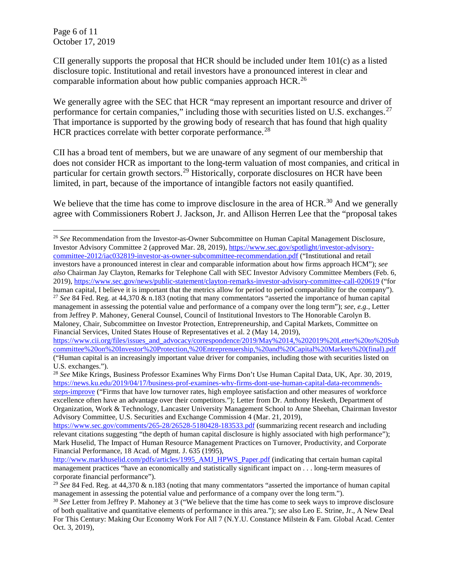Page 6 of 11 October 17, 2019

i

CII generally supports the proposal that HCR should be included under Item 101(c) as a listed disclosure topic. Institutional and retail investors have a pronounced interest in clear and comparable information about how public companies approach HCR.<sup>[26](#page-5-0)</sup>

We generally agree with the SEC that HCR "may represent an important resource and driver of performance for certain companies," including those with securities listed on U.S. exchanges. $27$ That importance is supported by the growing body of research that has found that high quality HCR practices correlate with better corporate performance.<sup>[28](#page-5-2)</sup>

CII has a broad tent of members, but we are unaware of any segment of our membership that does not consider HCR as important to the long-term valuation of most companies, and critical in particular for certain growth sectors.<sup>[29](#page-5-3)</sup> Historically, corporate disclosures on HCR have been limited, in part, because of the importance of intangible factors not easily quantified.

We believe that the time has come to improve disclosure in the area of HCR.<sup>[30](#page-5-4)</sup> And we generally agree with Commissioners Robert J. Jackson, Jr. and Allison Herren Lee that the "proposal takes

<span id="page-5-0"></span><sup>26</sup> *See* Recommendation from the Investor-as-Owner Subcommittee on Human Capital Management Disclosure, Investor Advisory Committee 2 (approved Mar. 28, 2019)[, https://www.sec.gov/spotlight/investor-advisory](https://www.sec.gov/spotlight/investor-advisory-committee-2012/iac032819-investor-as-owner-subcommittee-recommendation.pdf)[committee-2012/iac032819-investor-as-owner-subcommittee-recommendation.pdf](https://www.sec.gov/spotlight/investor-advisory-committee-2012/iac032819-investor-as-owner-subcommittee-recommendation.pdf) ("Institutional and retail investors have a pronounced interest in clear and comparable information about how firms approach HCM"); *see also* Chairman Jay Clayton, Remarks for Telephone Call with SEC Investor Advisory Committee Members (Feb. 6, 2019),<https://www.sec.gov/news/public-statement/clayton-remarks-investor-advisory-committee-call-020619> ("for<br>human capital, I believe it is important that the metrics allow for period to period comparability for the comp <sup>27</sup> See 84 Fed. Reg. at 44,370 & n.183 (noting that many commentators "asserted the importance of human capital management in assessing the potential value and performance of a company over the long term"); *see, e.g.,* Letter from Jeffrey P. Mahoney, General Counsel, Council of Institutional Investors to The Honorable Carolyn B.

<span id="page-5-1"></span>Maloney, Chair, Subcommittee on Investor Protection, Entrepreneurship, and Capital Markets, Committee on Financial Services, United States House of Representatives et al. 2 (May 14, 2019),

[https://www.cii.org/files/issues\\_and\\_advocacy/correspondence/2019/May%2014,%202019%20Letter%20to%20Sub](https://www.cii.org/files/issues_and_advocacy/correspondence/2019/May%2014,%202019%20Letter%20to%20Subcommittee%20on%20Investor%20Protection,%20Entreprenuership,%20and%20Capital%20Markets%20(final).pdf) [committee%20on%20Investor%20Protection,%20Entreprenuership,%20and%20Capital%20Markets%20\(final\).pdf](https://www.cii.org/files/issues_and_advocacy/correspondence/2019/May%2014,%202019%20Letter%20to%20Subcommittee%20on%20Investor%20Protection,%20Entreprenuership,%20and%20Capital%20Markets%20(final).pdf) ("Human capital is an increasingly important value driver for companies, including those with securities listed on U.S. exchanges.").

<span id="page-5-2"></span><sup>28</sup> *See* Mike Krings, Business Professor Examines Why Firms Don't Use Human Capital Data, UK, Apr. 30, 2019, [https://news.ku.edu/2019/04/17/business-prof-examines-why-firms-dont-use-human-capital-data-recommends](https://news.ku.edu/2019/04/17/business-prof-examines-why-firms-dont-use-human-capital-data-recommends-steps-improve)[steps-improve](https://news.ku.edu/2019/04/17/business-prof-examines-why-firms-dont-use-human-capital-data-recommends-steps-improve) ("Firms that have low turnover rates, high employee satisfaction and other measures of workforce excellence often have an advantage over their competitors."); Letter from Dr. Anthony Hesketh, Department of Organization, Work & Technology, Lancaster University Management School to Anne Sheehan, Chairman Investor Advisory Committee, U.S. Securities and Exchange Commission 4 (Mar. 21, 2019),

<https://www.sec.gov/comments/265-28/26528-5180428-183533.pdf> (summarizing recent research and including relevant citations suggesting "the depth of human capital disclosure is highly associated with high performance"); Mark Huselid, The Impact of Human Resource Management Practices on Turnover, Productivity, and Corporate Financial Performance, 18 Acad. of Mgmt. J. 635 (1995),

[http://www.markhuselid.com/pdfs/articles/1995\\_AMJ\\_HPWS\\_Paper.pdf](http://www.markhuselid.com/pdfs/articles/1995_AMJ_HPWS_Paper.pdf) (indicating that certain human capital management practices "have an economically and statistically significant impact on . . . long-term measures of corporate financial performance").

<span id="page-5-3"></span><sup>29</sup> *See* 84 Fed. Reg. at 44,370 & n.183 (noting that many commentators "asserted the importance of human capital management in assessing the potential value and performance of a company over the long term.").

<span id="page-5-4"></span><sup>30</sup> *See* Letter from Jeffrey P. Mahoney at 3 ("We believe that the time has come to seek ways to improve disclosure of both qualitative and quantitative elements of performance in this area."); *see* also Leo E. Strine, Jr., A New Deal For This Century: Making Our Economy Work For All 7 (N.Y.U. Constance Milstein & Fam. Global Acad. Center Oct. 3, 2019),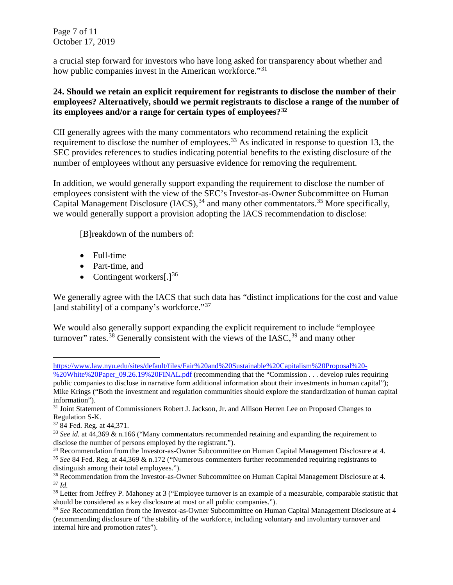Page 7 of 11 October 17, 2019

a crucial step forward for investors who have long asked for transparency about whether and how public companies invest in the American workforce."<sup>[31](#page-6-0)</sup>

# **24. Should we retain an explicit requirement for registrants to disclose the number of their employees? Alternatively, should we permit registrants to disclose a range of the number of its employees and/or a range for certain types of employees?[32](#page-6-1)**

CII generally agrees with the many commentators who recommend retaining the explicit requirement to disclose the number of employees.<sup>[33](#page-6-2)</sup> As indicated in response to question 13, the SEC provides references to studies indicating potential benefits to the existing disclosure of the number of employees without any persuasive evidence for removing the requirement.

In addition, we would generally support expanding the requirement to disclose the number of employees consistent with the view of the SEC's Investor-as-Owner Subcommittee on Human Capital Management Disclosure (IACS),<sup>[34](#page-6-3)</sup> and many other commentators.<sup>[35](#page-6-4)</sup> More specifically, we would generally support a provision adopting the IACS recommendation to disclose:

[B]reakdown of the numbers of:

- Full-time
- Part-time, and
- Contingent workers $[.]^{36}$  $[.]^{36}$  $[.]^{36}$

We generally agree with the IACS that such data has "distinct implications for the cost and value [and stability] of a company's workforce."<sup>[37](#page-6-6)</sup>

We would also generally support expanding the explicit requirement to include "employee" turnover" rates.<sup>[38](#page-6-7)</sup> Generally consistent with the views of the IASC,  $39$  and many other

i [https://www.law.nyu.edu/sites/default/files/Fair%20and%20Sustainable%20Capitalism%20Proposal%20-](https://www.law.nyu.edu/sites/default/files/Fair%20and%20Sustainable%20Capitalism%20Proposal%20-%20White%20Paper_09.26.19%20FINAL.pdf)

[<sup>%20</sup>White%20Paper\\_09.26.19%20FINAL.pdf](https://www.law.nyu.edu/sites/default/files/Fair%20and%20Sustainable%20Capitalism%20Proposal%20-%20White%20Paper_09.26.19%20FINAL.pdf) (recommending that the "Commission . . . develop rules requiring public companies to disclose in narrative form additional information about their investments in human capital"); Mike Krings ("Both the investment and regulation communities should explore the standardization of human capital information").

<span id="page-6-0"></span><sup>&</sup>lt;sup>31</sup> Joint Statement of Commissioners Robert J. Jackson, Jr. and Allison Herren Lee on Proposed Changes to Regulation S-K.

<span id="page-6-1"></span><sup>32</sup> 84 Fed. Reg. at 44,371.

<span id="page-6-2"></span><sup>&</sup>lt;sup>33</sup> *See id.* at 44,369 & n.166 ("Many commentators recommended retaining and expanding the requirement to disclose the number of persons employed by the registrant.").

<span id="page-6-3"></span><sup>&</sup>lt;sup>34</sup> Recommendation from the Investor-as-Owner Subcommittee on Human Capital Management Disclosure at 4.

<span id="page-6-4"></span><sup>35</sup> *See* 84 Fed. Reg. at 44,369 & n.172 ("Numerous commenters further recommended requiring registrants to distinguish among their total employees.").

<span id="page-6-6"></span><span id="page-6-5"></span><sup>&</sup>lt;sup>36</sup> Recommendation from the Investor-as-Owner Subcommittee on Human Capital Management Disclosure at 4. <sup>37</sup> *Id.*

<span id="page-6-7"></span><sup>&</sup>lt;sup>38</sup> Letter from Jeffrey P. Mahoney at 3 ("Employee turnover is an example of a measurable, comparable statistic that should be considered as a key disclosure at most or all public companies.").

<span id="page-6-8"></span><sup>&</sup>lt;sup>39</sup> See Recommendation from the Investor-as-Owner Subcommittee on Human Capital Management Disclosure at 4 (recommending disclosure of "the stability of the workforce, including voluntary and involuntary turnover and internal hire and promotion rates").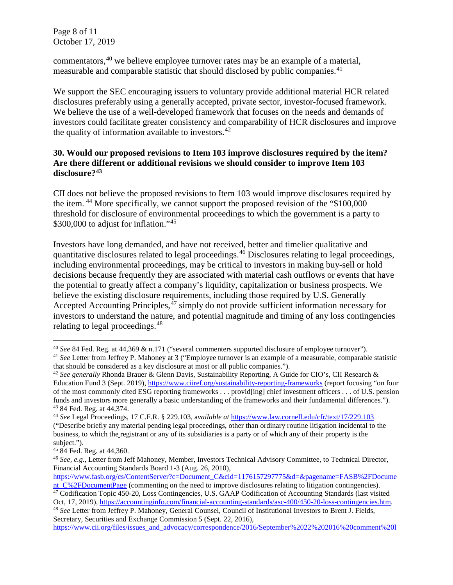Page 8 of 11 October 17, 2019

commentators,[40](#page-7-0) we believe employee turnover rates may be an example of a material, measurable and comparable statistic that should disclosed by public companies.<sup>[41](#page-7-1)</sup>

We support the SEC encouraging issuers to voluntary provide additional material HCR related disclosures preferably using a generally accepted, private sector, investor-focused framework. We believe the use of a well-developed framework that focuses on the needs and demands of investors could facilitate greater consistency and comparability of HCR disclosures and improve the quality of information available to investors. $42$ 

# **30. Would our proposed revisions to Item 103 improve disclosures required by the item? Are there different or additional revisions we should consider to improve Item 103 disclosure?[43](#page-7-3)**

CII does not believe the proposed revisions to Item 103 would improve disclosures required by the item. [44](#page-7-4) More specifically, we cannot support the proposed revision of the "\$100,000 threshold for disclosure of environmental proceedings to which the government is a party to \$300,000 to adjust for inflation."<sup>[45](#page-7-5)</sup>

Investors have long demanded, and have not received, better and timelier qualitative and quantitative disclosures related to legal proceedings.[46](#page-7-6) Disclosures relating to legal proceedings, including environmental proceedings, may be critical to investors in making buy-sell or hold decisions because frequently they are associated with material cash outflows or events that have the potential to greatly affect a company's liquidity, capitalization or business prospects. We believe the existing disclosure requirements, including those required by U.S. Generally Accepted Accounting Principles,<sup>[47](#page-7-7)</sup> simply do not provide sufficient information necessary for investors to understand the nature, and potential magnitude and timing of any loss contingencies relating to legal proceedings.<sup>[48](#page-7-8)</sup>

i<br>I

<span id="page-7-8"></span><sup>48</sup> *See* Letter from Jeffrey P. Mahoney, General Counsel, Council of Institutional Investors to Brent J. Fields, Secretary, Securities and Exchange Commission 5 (Sept. 22, 2016),

<span id="page-7-0"></span><sup>40</sup> *See* 84 Fed. Reg. at 44,369 & n.171 ("several commenters supported disclosure of employee turnover").

<span id="page-7-1"></span><sup>41</sup> *See* Letter from Jeffrey P. Mahoney at 3 ("Employee turnover is an example of a measurable, comparable statistic that should be considered as a key disclosure at most or all public companies.").

<span id="page-7-2"></span><sup>42</sup> *See generally* Rhonda Brauer & Glenn Davis, Sustainability Reporting, A Guide for CIO's, CII Research & Education Fund 3 (Sept. 2019), <https://www.ciiref.org/sustainability-reporting-frameworks> (report focusing "on four of the most commonly cited ESG reporting frameworks . . . provid[ing] chief investment officers . . . of U.S. pension funds and investors more generally a basic understanding of the frameworks and their fundamental differences."). <sup>43</sup> 84 Fed. Reg. at 44,374. 44 *See* Legal Proceedings, 17 C.F.R. § 229.103, <sup>a</sup>*vailable at* <https://www.law.cornell.edu/cfr/text/17/229.103>

<span id="page-7-4"></span><span id="page-7-3"></span><sup>(&</sup>quot;Describe briefly any [material](https://www.law.cornell.edu/cfr/text/17/229.103) pending legal proceedings, other than ordinary routine litigation incidental to the business, to which the [registrant](https://www.law.cornell.edu/cfr/text/17/229.103) or any of its subsidiaries is a party or of which any of their property is the subject.").

<span id="page-7-5"></span><sup>45</sup> 84 Fed. Reg. at 44,360.

<span id="page-7-6"></span><sup>46</sup> *See, e.g.,* Letter from Jeff Mahoney, Member, Investors Technical Advisory Committee, to Technical Director, Financial Accounting Standards Board 1-3 (Aug. 26, 2010),

[https://www.fasb.org/cs/ContentServer?c=Document\\_C&cid=1176157297775&d=&pagename=FASB%2FDocume](https://www.fasb.org/cs/ContentServer?c=Document_C&cid=1176157297775&d=&pagename=FASB%2FDocument_C%2FDocumentPage) nt C%2FDocumentPage (commenting on the need to improve disclosures relating to litigation contingencies).

<span id="page-7-7"></span><sup>47</sup> Codification Topic 450-20, Loss Contingencies, U.S. GAAP Codification of Accounting Standards (last visited Oct, 17, 2019), [https://accountinginfo.com/financial-accounting-standards/asc-400/450-20-loss-contingencies.htm.](https://accountinginfo.com/financial-accounting-standards/asc-400/450-20-loss-contingencies.htm)

[https://www.cii.org/files/issues\\_and\\_advocacy/correspondence/2016/September%2022%202016%20comment%20l](https://www.cii.org/files/issues_and_advocacy/correspondence/2016/September%2022%202016%20comment%20letter%20(final%20with%20letterhead)%20KAB.pdf)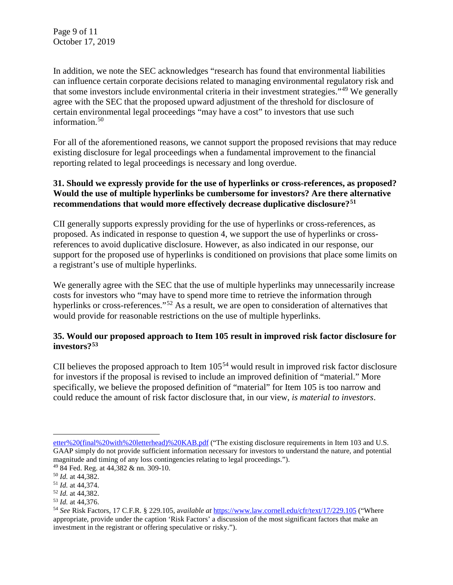Page 9 of 11 October 17, 2019

In addition, we note the SEC acknowledges "research has found that environmental liabilities can influence certain corporate decisions related to managing environmental regulatory risk and that some investors include environmental criteria in their investment strategies."[49](#page-8-0) We generally agree with the SEC that the proposed upward adjustment of the threshold for disclosure of certain environmental legal proceedings "may have a cost" to investors that use such information.<sup>[50](#page-8-1)</sup>

For all of the aforementioned reasons, we cannot support the proposed revisions that may reduce existing disclosure for legal proceedings when a fundamental improvement to the financial reporting related to legal proceedings is necessary and long overdue.

# **31. Should we expressly provide for the use of hyperlinks or cross-references, as proposed? Would the use of multiple hyperlinks be cumbersome for investors? Are there alternative recommendations that would more effectively decrease duplicative disclosure?[51](#page-8-2)**

CII generally supports expressly providing for the use of hyperlinks or cross-references, as proposed. As indicated in response to question 4, we support the use of hyperlinks or crossreferences to avoid duplicative disclosure. However, as also indicated in our response, our support for the proposed use of hyperlinks is conditioned on provisions that place some limits on a registrant's use of multiple hyperlinks.

We generally agree with the SEC that the use of multiple hyperlinks may unnecessarily increase costs for investors who "may have to spend more time to retrieve the information through hyperlinks or cross-references."<sup>[52](#page-8-3)</sup> As a result, we are open to consideration of alternatives that would provide for reasonable restrictions on the use of multiple hyperlinks.

# **35. Would our proposed approach to Item 105 result in improved risk factor disclosure for investors?[53](#page-8-4)**

CII believes the proposed approach to Item 105<sup>[54](#page-8-5)</sup> would result in improved risk factor disclosure for investors if the proposal is revised to include an improved definition of "material." More specifically, we believe the proposed definition of "material" for Item 105 is too narrow and could reduce the amount of risk factor disclosure that, in our view, *is material to investors*.

i

[etter%20\(final%20with%20letterhead\)%20KAB.pdf](https://www.cii.org/files/issues_and_advocacy/correspondence/2016/September%2022%202016%20comment%20letter%20(final%20with%20letterhead)%20KAB.pdf) ("The existing disclosure requirements in Item 103 and U.S. GAAP simply do not provide sufficient information necessary for investors to understand the nature, and potential magnitude and timing of any loss contingencies relating to legal proceedings.").

<span id="page-8-1"></span><span id="page-8-0"></span><sup>49</sup> 84 Fed. Reg. at 44,382 & nn. 309-10. 50 *Id.* at 44,382.

<span id="page-8-5"></span>

<span id="page-8-4"></span><span id="page-8-3"></span><span id="page-8-2"></span><sup>51</sup> *Id.* at 44,374. 52 *Id.* at 44,382. 53 *Id.* at 44,376. 54 *See* Risk Factors, 17 C.F.R. § 229.105, <sup>a</sup>*vailable at* <https://www.law.cornell.edu/cfr/text/17/229.105> ("Where appropriate, provide under the caption 'Risk Factors' a discussion of the most significant factors that make an investment in the [registrant](https://www.law.cornell.edu/cfr/text/17/229.105) or offering speculative or risky.").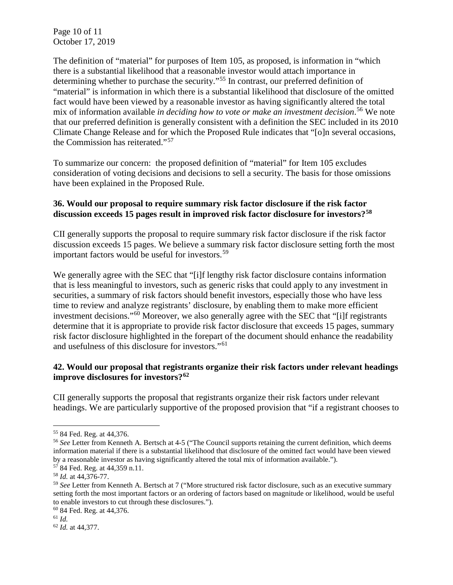Page 10 of 11 October 17, 2019

The definition of "material" for purposes of Item 105, as proposed, is information in "which there is a substantial likelihood that a reasonable investor would attach importance in determining whether to purchase the security."[55](#page-9-0) In contrast, our preferred definition of "material" is information in which there is a substantial likelihood that disclosure of the omitted fact would have been viewed by a reasonable investor as having significantly altered the total mix of information available *in deciding how to vote or make an investment decision*. [56](#page-9-1) We note that our preferred definition is generally consistent with a definition the SEC included in its 2010 Climate Change Release and for which the Proposed Rule indicates that "[o]n several occasions, the Commission has reiterated."[57](#page-9-2) 

To summarize our concern: the proposed definition of "material" for Item 105 excludes consideration of voting decisions and decisions to sell a security. The basis for those omissions have been explained in the Proposed Rule.

# **36. Would our proposal to require summary risk factor disclosure if the risk factor discussion exceeds 15 pages result in improved risk factor disclosure for investors?[58](#page-9-3)**

CII generally supports the proposal to require summary risk factor disclosure if the risk factor discussion exceeds 15 pages. We believe a summary risk factor disclosure setting forth the most important factors would be useful for investors.<sup>[59](#page-9-4)</sup>

We generally agree with the SEC that "[i]f lengthy risk factor disclosure contains information that is less meaningful to investors, such as generic risks that could apply to any investment in securities, a summary of risk factors should benefit investors, especially those who have less time to review and analyze registrants' disclosure, by enabling them to make more efficient investment decisions."<sup>[60](#page-9-5)</sup> Moreover, we also generally agree with the SEC that "[i]f registrants determine that it is appropriate to provide risk factor disclosure that exceeds 15 pages, summary risk factor disclosure highlighted in the forepart of the document should enhance the readability and usefulness of this disclosure for investors."[61](#page-9-6)

# **42. Would our proposal that registrants organize their risk factors under relevant headings improve disclosures for investors?[62](#page-9-7)**

CII generally supports the proposal that registrants organize their risk factors under relevant headings. We are particularly supportive of the proposed provision that "if a registrant chooses to

i

<span id="page-9-1"></span><span id="page-9-0"></span><sup>55</sup> 84 Fed. Reg. at 44,376. 56 *See* Letter from Kenneth A. Bertsch at 4-5 ("The Council supports retaining the current definition, which deems information material if there is a substantial likelihood that disclosure of the omitted fact would have been viewed by a reasonable investor as having significantly altered the total mix of information available.").

<span id="page-9-2"></span><sup>57</sup> 84 Fed. Reg. at 44,359 n.11. 58 *Id.* at 44,376-77.

<span id="page-9-3"></span>

<span id="page-9-4"></span><sup>59</sup> *See* Letter from Kenneth A. Bertsch at 7 ("More structured risk factor disclosure, such as an executive summary setting forth the most important factors or an ordering of factors based on magnitude or likelihood, would be useful to enable investors to cut through these disclosures.").

<span id="page-9-5"></span><sup>60</sup> 84 Fed. Reg. at 44,376.

<span id="page-9-6"></span><sup>61</sup> *Id.*

<span id="page-9-7"></span><sup>62</sup> *Id.* at 44,377.